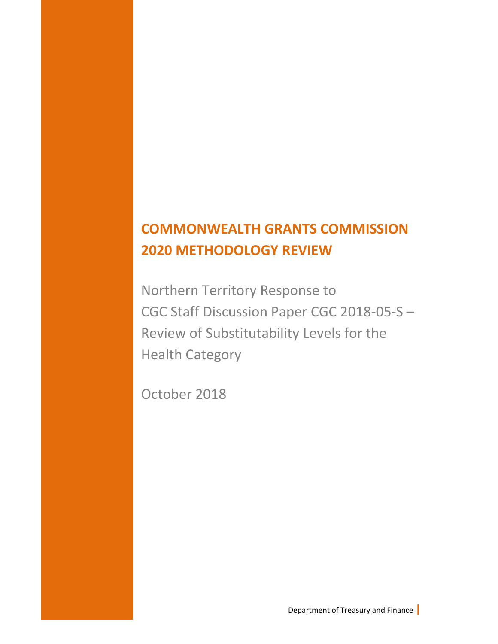## **COMMONWEALTH GRANTS COMMISSION 2020 METHODOLOGY REVIEW**

Northern Territory Response to CGC Staff Discussion Paper CGC 2018-05-S – Review of Substitutability Levels for the Health Category

October 2018

Department of Treasury and Finance **|**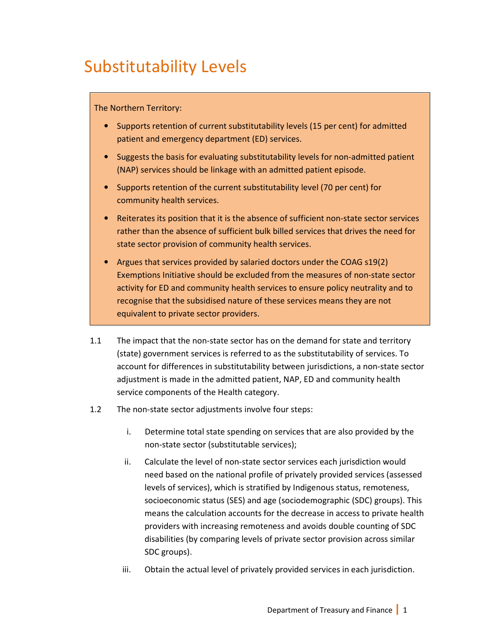# Substitutability Levels

## The Northern Territory:

- Supports retention of current substitutability levels (15 per cent) for admitted patient and emergency department (ED) services.
- Suggests the basis for evaluating substitutability levels for non-admitted patient (NAP) services should be linkage with an admitted patient episode.
- Supports retention of the current substitutability level (70 per cent) for community health services.
- Reiterates its position that it is the absence of sufficient non-state sector services rather than the absence of sufficient bulk billed services that drives the need for state sector provision of community health services.
- Argues that services provided by salaried doctors under the COAG s19(2) Exemptions Initiative should be excluded from the measures of non-state sector activity for ED and community health services to ensure policy neutrality and to recognise that the subsidised nature of these services means they are not equivalent to private sector providers.
- 1.1 The impact that the non-state sector has on the demand for state and territory (state) government services is referred to as the substitutability of services. To account for differences in substitutability between jurisdictions, a non-state sector adjustment is made in the admitted patient, NAP, ED and community health service components of the Health category.
- 1.2 The non-state sector adjustments involve four steps:
	- i. Determine total state spending on services that are also provided by the non-state sector (substitutable services);
	- ii. Calculate the level of non-state sector services each jurisdiction would need based on the national profile of privately provided services (assessed levels of services), which is stratified by Indigenous status, remoteness, socioeconomic status (SES) and age (sociodemographic (SDC) groups). This means the calculation accounts for the decrease in access to private health providers with increasing remoteness and avoids double counting of SDC disabilities (by comparing levels of private sector provision across similar SDC groups).
	- iii. Obtain the actual level of privately provided services in each jurisdiction.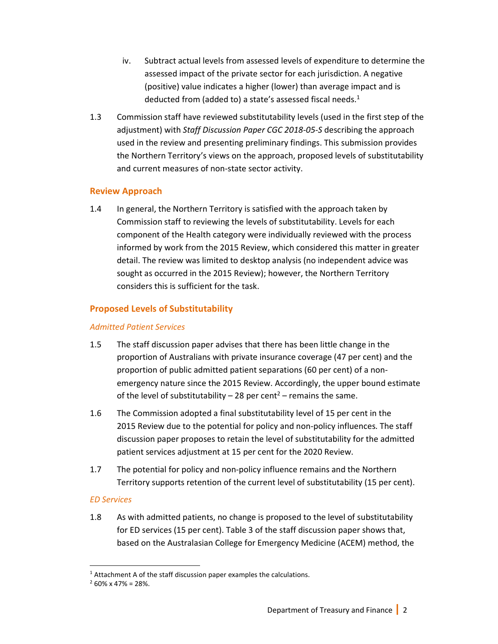- iv. Subtract actual levels from assessed levels of expenditure to determine the assessed impact of the private sector for each jurisdiction. A negative (positive) value indicates a higher (lower) than average impact and is deducted from (added to) a state's assessed fiscal needs.<sup>1</sup>
- 1.3 Commission staff have reviewed substitutability levels (used in the first step of the adjustment) with *Staff Discussion Paper CGC 2018-05-S* describing the approach used in the review and presenting preliminary findings. This submission provides the Northern Territory's views on the approach, proposed levels of substitutability and current measures of non-state sector activity.

### **Review Approach**

1.4 In general, the Northern Territory is satisfied with the approach taken by Commission staff to reviewing the levels of substitutability. Levels for each component of the Health category were individually reviewed with the process informed by work from the 2015 Review, which considered this matter in greater detail. The review was limited to desktop analysis (no independent advice was sought as occurred in the 2015 Review); however, the Northern Territory considers this is sufficient for the task.

## **Proposed Levels of Substitutability**

#### *Admitted Patient Services*

- 1.5 The staff discussion paper advises that there has been little change in the proportion of Australians with private insurance coverage (47 per cent) and the proportion of public admitted patient separations (60 per cent) of a nonemergency nature since the 2015 Review. Accordingly, the upper bound estimate of the level of substitutability  $-28$  per cent<sup>2</sup> – remains the same.
- 1.6 The Commission adopted a final substitutability level of 15 per cent in the 2015 Review due to the potential for policy and non-policy influences. The staff discussion paper proposes to retain the level of substitutability for the admitted patient services adjustment at 15 per cent for the 2020 Review.
- 1.7 The potential for policy and non-policy influence remains and the Northern Territory supports retention of the current level of substitutability (15 per cent).

#### *ED Services*

l,

1.8 As with admitted patients, no change is proposed to the level of substitutability for ED services (15 per cent). Table 3 of the staff discussion paper shows that, based on the Australasian College for Emergency Medicine (ACEM) method, the

<sup>&</sup>lt;sup>1</sup> Attachment A of the staff discussion paper examples the calculations.

 $2$  60% x 47% = 28%.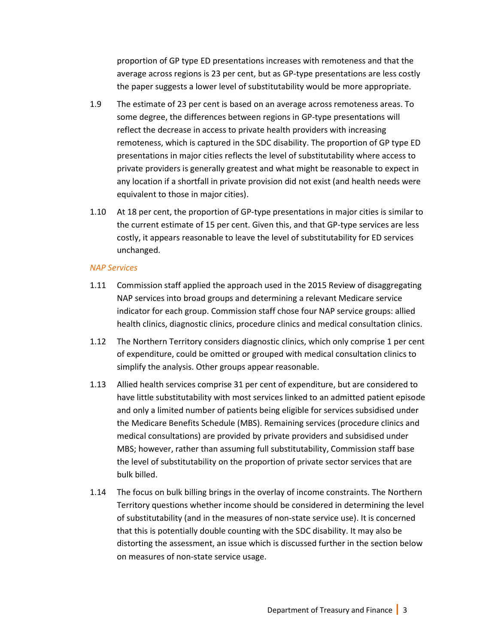proportion of GP type ED presentations increases with remoteness and that the average across regions is 23 per cent, but as GP-type presentations are less costly the paper suggests a lower level of substitutability would be more appropriate.

- 1.9 The estimate of 23 per cent is based on an average across remoteness areas. To some degree, the differences between regions in GP-type presentations will reflect the decrease in access to private health providers with increasing remoteness, which is captured in the SDC disability. The proportion of GP type ED presentations in major cities reflects the level of substitutability where access to private providers is generally greatest and what might be reasonable to expect in any location if a shortfall in private provision did not exist (and health needs were equivalent to those in major cities).
- 1.10 At 18 per cent, the proportion of GP-type presentations in major cities is similar to the current estimate of 15 per cent. Given this, and that GP-type services are less costly, it appears reasonable to leave the level of substitutability for ED services unchanged.

#### *NAP Services*

- 1.11 Commission staff applied the approach used in the 2015 Review of disaggregating NAP services into broad groups and determining a relevant Medicare service indicator for each group. Commission staff chose four NAP service groups: allied health clinics, diagnostic clinics, procedure clinics and medical consultation clinics.
- 1.12 The Northern Territory considers diagnostic clinics, which only comprise 1 per cent of expenditure, could be omitted or grouped with medical consultation clinics to simplify the analysis. Other groups appear reasonable.
- 1.13 Allied health services comprise 31 per cent of expenditure, but are considered to have little substitutability with most services linked to an admitted patient episode and only a limited number of patients being eligible for services subsidised under the Medicare Benefits Schedule (MBS). Remaining services (procedure clinics and medical consultations) are provided by private providers and subsidised under MBS; however, rather than assuming full substitutability, Commission staff base the level of substitutability on the proportion of private sector services that are bulk billed.
- 1.14 The focus on bulk billing brings in the overlay of income constraints. The Northern Territory questions whether income should be considered in determining the level of substitutability (and in the measures of non-state service use). It is concerned that this is potentially double counting with the SDC disability. It may also be distorting the assessment, an issue which is discussed further in the section below on measures of non-state service usage.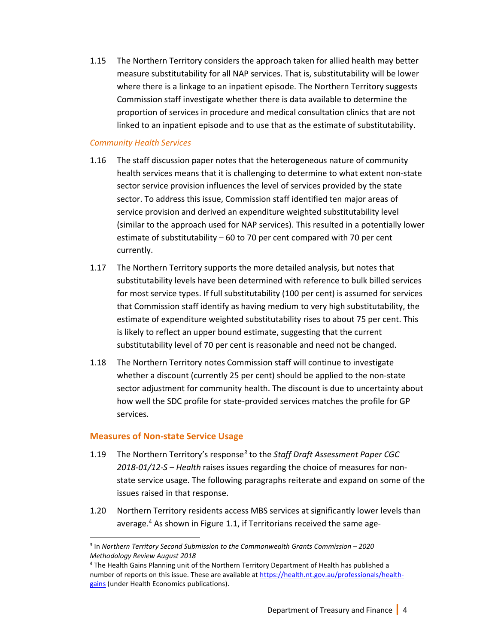1.15 The Northern Territory considers the approach taken for allied health may better measure substitutability for all NAP services. That is, substitutability will be lower where there is a linkage to an inpatient episode. The Northern Territory suggests Commission staff investigate whether there is data available to determine the proportion of services in procedure and medical consultation clinics that are not linked to an inpatient episode and to use that as the estimate of substitutability.

#### *Community Health Services*

- 1.16 The staff discussion paper notes that the heterogeneous nature of community health services means that it is challenging to determine to what extent non-state sector service provision influences the level of services provided by the state sector. To address this issue, Commission staff identified ten major areas of service provision and derived an expenditure weighted substitutability level (similar to the approach used for NAP services). This resulted in a potentially lower estimate of substitutability – 60 to 70 per cent compared with 70 per cent currently.
- 1.17 The Northern Territory supports the more detailed analysis, but notes that substitutability levels have been determined with reference to bulk billed services for most service types. If full substitutability (100 per cent) is assumed for services that Commission staff identify as having medium to very high substitutability, the estimate of expenditure weighted substitutability rises to about 75 per cent. This is likely to reflect an upper bound estimate, suggesting that the current substitutability level of 70 per cent is reasonable and need not be changed.
- 1.18 The Northern Territory notes Commission staff will continue to investigate whether a discount (currently 25 per cent) should be applied to the non-state sector adjustment for community health. The discount is due to uncertainty about how well the SDC profile for state-provided services matches the profile for GP services.

#### **Measures of Non-state Service Usage**

l,

- 1.19 The Northern Territory's response*<sup>3</sup>* to the *Staff Draft Assessment Paper CGC 2018-01/12-S – Health* raises issues regarding the choice of measures for nonstate service usage. The following paragraphs reiterate and expand on some of the issues raised in that response.
- 1.20 Northern Territory residents access MBS services at significantly lower levels than average.<sup>4</sup> As shown in Figure 1.1, if Territorians received the same age-

<sup>3</sup> In *Northern Territory Second Submission to the Commonwealth Grants Commission – 2020 Methodology Review August 2018* 

<sup>4</sup> The Health Gains Planning unit of the Northern Territory Department of Health has published a number of reports on this issue. These are available at https://health.nt.gov.au/professionals/healthgains (under Health Economics publications).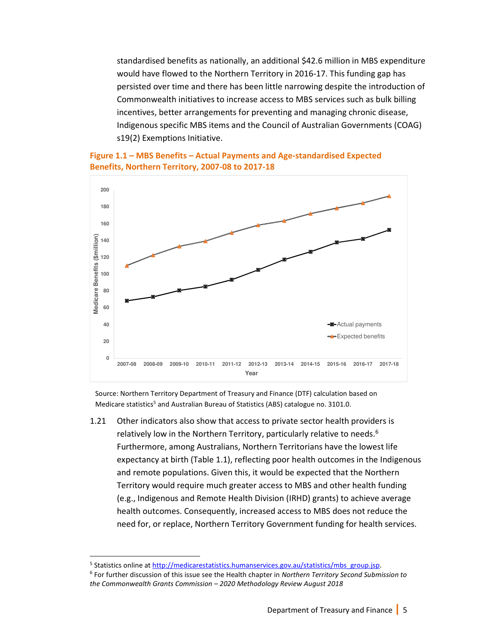standardised benefits as nationally, an additional \$42.6 million in MBS expenditure would have flowed to the Northern Territory in 2016-17. This funding gap has persisted over time and there has been little narrowing despite the introduction of Commonwealth initiatives to increase access to MBS services such as bulk billing incentives, better arrangements for preventing and managing chronic disease, Indigenous specific MBS items and the Council of Australian Governments (COAG) s19(2) Exemptions Initiative.





Source: Northern Territory Department of Treasury and Finance (DTF) calculation based on Medicare statistics<sup>5</sup> and Australian Bureau of Statistics (ABS) catalogue no. 3101.0.

1.21 Other indicators also show that access to private sector health providers is relatively low in the Northern Territory, particularly relative to needs.<sup>6</sup> Furthermore, among Australians, Northern Territorians have the lowest life expectancy at birth (Table 1.1), reflecting poor health outcomes in the Indigenous and remote populations. Given this, it would be expected that the Northern Territory would require much greater access to MBS and other health funding (e.g., Indigenous and Remote Health Division (IRHD) grants) to achieve average health outcomes. Consequently, increased access to MBS does not reduce the need for, or replace, Northern Territory Government funding for health services.

1

<sup>&</sup>lt;sup>5</sup> Statistics online at http://medicarestatistics.humanservices.gov.au/statistics/mbs\_group.jsp.

<sup>6</sup> For further discussion of this issue see the Health chapter in *Northern Territory Second Submission to the Commonwealth Grants Commission – 2020 Methodology Review August 2018*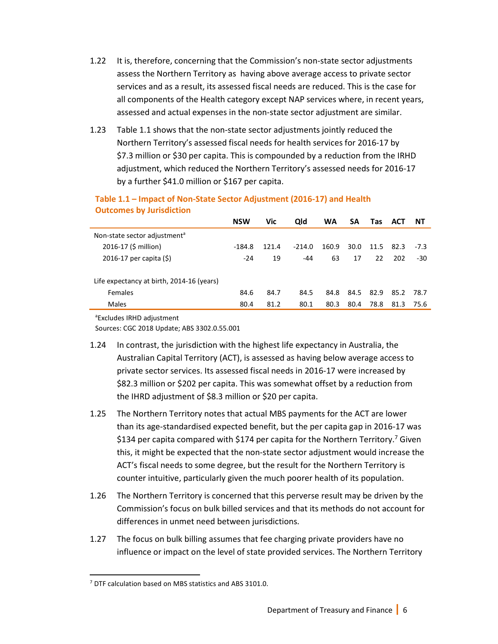- 1.22 It is, therefore, concerning that the Commission's non-state sector adjustments assess the Northern Territory as having above average access to private sector services and as a result, its assessed fiscal needs are reduced. This is the case for all components of the Health category except NAP services where, in recent years, assessed and actual expenses in the non-state sector adjustment are similar.
- 1.23 Table 1.1 shows that the non-state sector adjustments jointly reduced the Northern Territory's assessed fiscal needs for health services for 2016-17 by \$7.3 million or \$30 per capita. This is compounded by a reduction from the IRHD adjustment, which reduced the Northern Territory's assessed needs for 2016-17 by a further \$41.0 million or \$167 per capita.

|                                           | <b>NSW</b> | Vic   | <b>Qld</b> | WA    | SA   | Tas  | <b>ACT</b> | - NT   |
|-------------------------------------------|------------|-------|------------|-------|------|------|------------|--------|
| Non-state sector adjustment <sup>a</sup>  |            |       |            |       |      |      |            |        |
| 2016-17 (\$ million)                      | -184.8     | 121.4 | $-214.0$   | 160.9 | 30.0 | 11.5 | 82.3       | $-7.3$ |
| 2016-17 per capita $(5)$                  | $-24$      | 19    | $-44$      | 63    | 17   | 22   | 202        | -30    |
| Life expectancy at birth, 2014-16 (years) |            |       |            |       |      |      |            |        |
| <b>Females</b>                            | 84.6       | 84.7  | 84.5       | 84.8  | 84.5 | 82.9 | 85.2       | 78.7   |
| Males                                     | 80.4       | 81.2  | 80.1       | 80.3  | 80.4 | 78.8 | 81.3       | 75.6   |
|                                           |            |       |            |       |      |      |            |        |

## **Table 1.1 – Impact of Non-State Sector Adjustment (2016-17) and Health Outcomes by Jurisdiction**

<sup>a</sup>Excludes IRHD adjustment

Sources: CGC 2018 Update; ABS 3302.0.55.001

- 1.24 In contrast, the jurisdiction with the highest life expectancy in Australia, the Australian Capital Territory (ACT), is assessed as having below average access to private sector services. Its assessed fiscal needs in 2016-17 were increased by \$82.3 million or \$202 per capita. This was somewhat offset by a reduction from the IHRD adjustment of \$8.3 million or \$20 per capita.
- 1.25 The Northern Territory notes that actual MBS payments for the ACT are lower than its age-standardised expected benefit, but the per capita gap in 2016-17 was \$134 per capita compared with \$174 per capita for the Northern Territory.<sup>7</sup> Given this, it might be expected that the non-state sector adjustment would increase the ACT's fiscal needs to some degree, but the result for the Northern Territory is counter intuitive, particularly given the much poorer health of its population.
- 1.26 The Northern Territory is concerned that this perverse result may be driven by the Commission's focus on bulk billed services and that its methods do not account for differences in unmet need between jurisdictions.
- 1.27 The focus on bulk billing assumes that fee charging private providers have no influence or impact on the level of state provided services. The Northern Territory

 $\overline{a}$ 

<sup>&</sup>lt;sup>7</sup> DTF calculation based on MBS statistics and ABS 3101.0.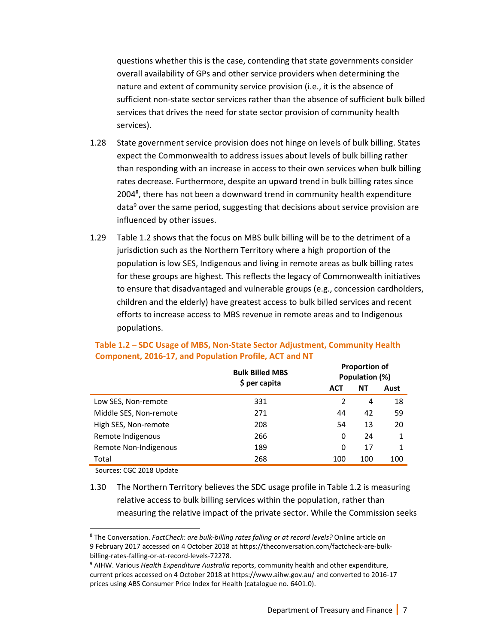questions whether this is the case, contending that state governments consider overall availability of GPs and other service providers when determining the nature and extent of community service provision (i.e., it is the absence of sufficient non-state sector services rather than the absence of sufficient bulk billed services that drives the need for state sector provision of community health services).

- 1.28 State government service provision does not hinge on levels of bulk billing. States expect the Commonwealth to address issues about levels of bulk billing rather than responding with an increase in access to their own services when bulk billing rates decrease. Furthermore, despite an upward trend in bulk billing rates since 2004<sup>8</sup>, there has not been a downward trend in community health expenditure data<sup>9</sup> over the same period, suggesting that decisions about service provision are influenced by other issues.
- 1.29 Table 1.2 shows that the focus on MBS bulk billing will be to the detriment of a jurisdiction such as the Northern Territory where a high proportion of the population is low SES, Indigenous and living in remote areas as bulk billing rates for these groups are highest. This reflects the legacy of Commonwealth initiatives to ensure that disadvantaged and vulnerable groups (e.g., concession cardholders, children and the elderly) have greatest access to bulk billed services and recent efforts to increase access to MBS revenue in remote areas and to Indigenous populations.

|                        | <b>Bulk Billed MBS</b> | <b>PIUDUI LIUII UI</b><br>Population (%) |     |      |  |  |
|------------------------|------------------------|------------------------------------------|-----|------|--|--|
|                        | \$ per capita          | <b>ACT</b>                               | ΝT  | Aust |  |  |
| Low SES, Non-remote    | 331                    |                                          | 4   | 18   |  |  |
| Middle SES, Non-remote | 271                    | 44                                       | 42  | 59   |  |  |
| High SES, Non-remote   | 208                    | 54                                       | 13  | 20   |  |  |
| Remote Indigenous      | 266                    | 0                                        | 24  | 1    |  |  |
| Remote Non-Indigenous  | 189                    | 0                                        | 17  | 1    |  |  |
| Total                  | 268                    | 100                                      | 100 | 100  |  |  |

#### **Table 1.2 – SDC Usage of MBS, Non-State Sector Adjustment, Community Health Component, 2016-17, and Population Profile, ACT and NT**

Sources: CGC 2018 Update

l,

1.30 The Northern Territory believes the SDC usage profile in Table 1.2 is measuring relative access to bulk billing services within the population, rather than measuring the relative impact of the private sector. While the Commission seeks

**Proportion of** 

<sup>8</sup> The Conversation. *FactCheck: are bulk-billing rates falling or at record levels?* Online article on 9 February 2017 accessed on 4 October 2018 at https://theconversation.com/factcheck-are-bulkbilling-rates-falling-or-at-record-levels-72278.

<sup>9</sup> AIHW. Various *Health Expenditure Australia* reports, community health and other expenditure, current prices accessed on 4 October 2018 at https://www.aihw.gov.au/ and converted to 2016-17 prices using ABS Consumer Price Index for Health (catalogue no. 6401.0).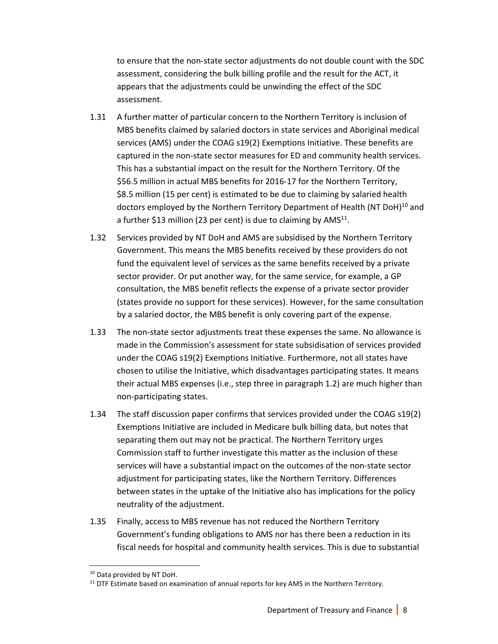to ensure that the non-state sector adjustments do not double count with the SDC assessment, considering the bulk billing profile and the result for the ACT, it appears that the adjustments could be unwinding the effect of the SDC assessment.

- 1.31 A further matter of particular concern to the Northern Territory is inclusion of MBS benefits claimed by salaried doctors in state services and Aboriginal medical services (AMS) under the COAG s19(2) Exemptions Initiative. These benefits are captured in the non-state sector measures for ED and community health services. This has a substantial impact on the result for the Northern Territory. Of the \$56.5 million in actual MBS benefits for 2016-17 for the Northern Territory, \$8.5 million (15 per cent) is estimated to be due to claiming by salaried health doctors employed by the Northern Territory Department of Health (NT DoH)<sup>10</sup> and a further \$13 million (23 per cent) is due to claiming by AMS $^{11}$ .
- 1.32 Services provided by NT DoH and AMS are subsidised by the Northern Territory Government. This means the MBS benefits received by these providers do not fund the equivalent level of services as the same benefits received by a private sector provider. Or put another way, for the same service, for example, a GP consultation, the MBS benefit reflects the expense of a private sector provider (states provide no support for these services). However, for the same consultation by a salaried doctor, the MBS benefit is only covering part of the expense.
- 1.33 The non-state sector adjustments treat these expenses the same. No allowance is made in the Commission's assessment for state subsidisation of services provided under the COAG s19(2) Exemptions Initiative. Furthermore, not all states have chosen to utilise the Initiative, which disadvantages participating states. It means their actual MBS expenses (i.e., step three in paragraph 1.2) are much higher than non-participating states.
- 1.34 The staff discussion paper confirms that services provided under the COAG s19(2) Exemptions Initiative are included in Medicare bulk billing data, but notes that separating them out may not be practical. The Northern Territory urges Commission staff to further investigate this matter as the inclusion of these services will have a substantial impact on the outcomes of the non-state sector adjustment for participating states, like the Northern Territory. Differences between states in the uptake of the Initiative also has implications for the policy neutrality of the adjustment.
- 1.35 Finally, access to MBS revenue has not reduced the Northern Territory Government's funding obligations to AMS nor has there been a reduction in its fiscal needs for hospital and community health services. This is due to substantial

l,

<sup>10</sup> Data provided by NT DoH.

 $11$  DTF Estimate based on examination of annual reports for key AMS in the Northern Territory.